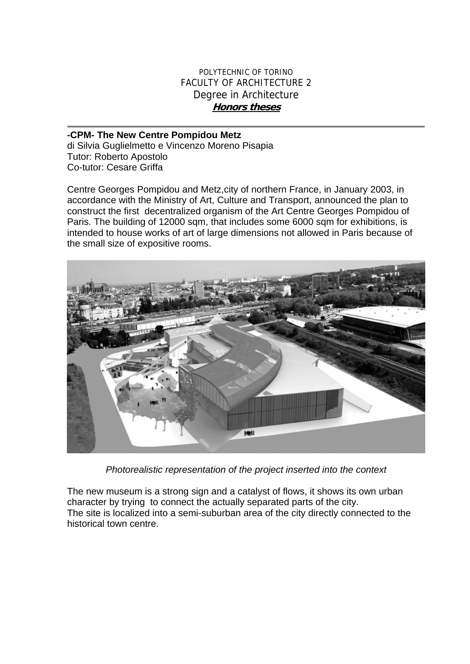## POLYTECHNIC OF TORINO FACULTY OF ARCHITECTURE 2 Degree in Architecture **Honors theses**

## **-CPM- The New Centre Pompidou Metz**

di Silvia Guglielmetto e Vincenzo Moreno Pisapia Tutor: Roberto Apostolo Co-tutor: Cesare Griffa

Centre Georges Pompidou and Metz,city of northern France, in January 2003, in accordance with the Ministry of Art, Culture and Transport, announced the plan to construct the first decentralized organism of the Art Centre Georges Pompidou of Paris. The building of 12000 sqm, that includes some 6000 sqm for exhibitions, is intended to house works of art of large dimensions not allowed in Paris because of the small size of expositive rooms.



*Photorealistic representation of the project inserted into the context* 

The new museum is a strong sign and a catalyst of flows, it shows its own urban character by trying to connect the actually separated parts of the city. The site is localized into a semi-suburban area of the city directly connected to the historical town centre.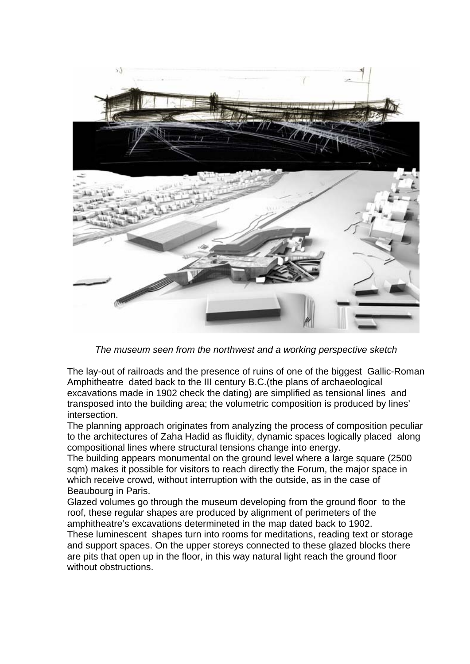

*The museum seen from the northwest and a working perspective sketch* 

The lay-out of railroads and the presence of ruins of one of the biggest Gallic-Roman Amphitheatre dated back to the III century B.C.(the plans of archaeological excavations made in 1902 check the dating) are simplified as tensional lines and transposed into the building area; the volumetric composition is produced by lines' intersection.

The planning approach originates from analyzing the process of composition peculiar to the architectures of Zaha Hadid as fluidity, dynamic spaces logically placed along compositional lines where structural tensions change into energy.

The building appears monumental on the ground level where a large square (2500 sqm) makes it possible for visitors to reach directly the Forum, the major space in which receive crowd, without interruption with the outside, as in the case of Beaubourg in Paris.

Glazed volumes go through the museum developing from the ground floor to the roof, these regular shapes are produced by alignment of perimeters of the amphitheatre's excavations determineted in the map dated back to 1902. These luminescent shapes turn into rooms for meditations, reading text or storage and support spaces. On the upper storeys connected to these glazed blocks there are pits that open up in the floor, in this way natural light reach the ground floor without obstructions.